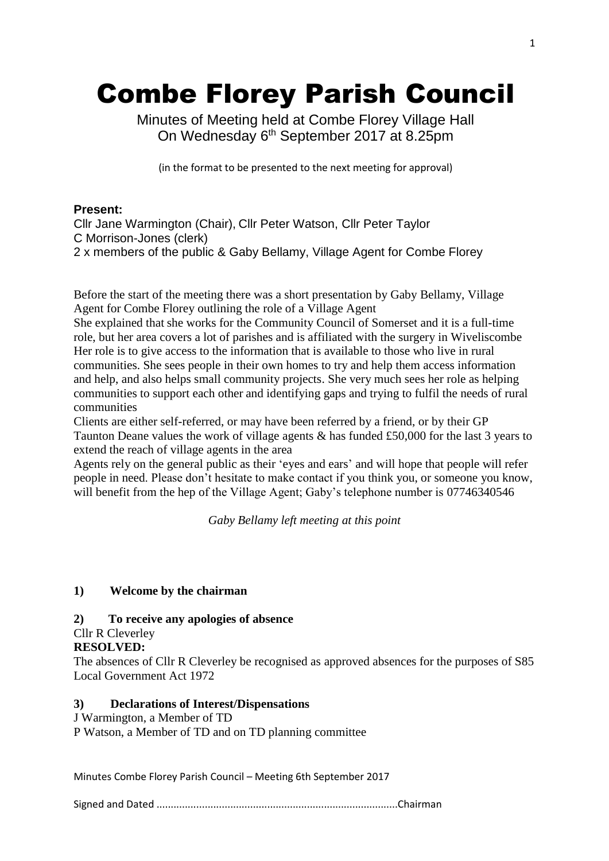# Combe Florey Parish Council

Minutes of Meeting held at Combe Florey Village Hall On Wednesday 6<sup>th</sup> September 2017 at 8.25pm

(in the format to be presented to the next meeting for approval)

# **Present:**

Cllr Jane Warmington (Chair), Cllr Peter Watson, Cllr Peter Taylor C Morrison-Jones (clerk) 2 x members of the public & Gaby Bellamy, Village Agent for Combe Florey

Before the start of the meeting there was a short presentation by Gaby Bellamy, Village Agent for Combe Florey outlining the role of a Village Agent

She explained that she works for the Community Council of Somerset and it is a full-time role, but her area covers a lot of parishes and is affiliated with the surgery in Wiveliscombe Her role is to give access to the information that is available to those who live in rural communities. She sees people in their own homes to try and help them access information and help, and also helps small community projects. She very much sees her role as helping communities to support each other and identifying gaps and trying to fulfil the needs of rural communities

Clients are either self-referred, or may have been referred by a friend, or by their GP Taunton Deane values the work of village agents & has funded £50,000 for the last 3 years to extend the reach of village agents in the area

Agents rely on the general public as their 'eyes and ears' and will hope that people will refer people in need. Please don't hesitate to make contact if you think you, or someone you know, will benefit from the hep of the Village Agent; Gaby's telephone number is 07746340546

*Gaby Bellamy left meeting at this point*

# **1) Welcome by the chairman**

# **2) To receive any apologies of absence**

Cllr R Cleverley

# **RESOLVED:**

The absences of Cllr R Cleverley be recognised as approved absences for the purposes of S85 Local Government Act 1972

## **3) Declarations of Interest/Dispensations**

- J Warmington, a Member of TD
- P Watson, a Member of TD and on TD planning committee

Minutes Combe Florey Parish Council – Meeting 6th September 2017

Signed and Dated .....................................................................................Chairman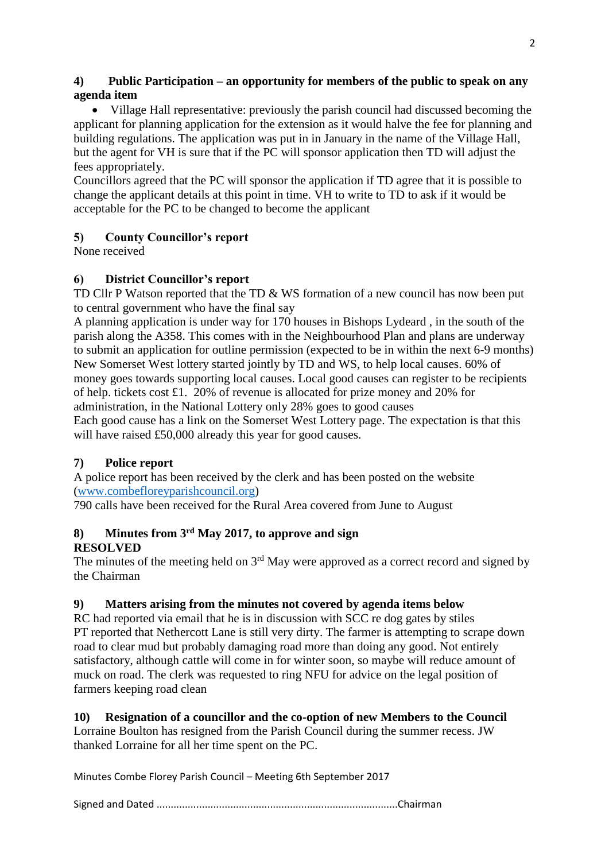# **4) Public Participation – an opportunity for members of the public to speak on any agenda item**

• Village Hall representative: previously the parish council had discussed becoming the applicant for planning application for the extension as it would halve the fee for planning and building regulations. The application was put in in January in the name of the Village Hall, but the agent for VH is sure that if the PC will sponsor application then TD will adjust the fees appropriately.

Councillors agreed that the PC will sponsor the application if TD agree that it is possible to change the applicant details at this point in time. VH to write to TD to ask if it would be acceptable for the PC to be changed to become the applicant

# **5) County Councillor's report**

None received

# **6) District Councillor's report**

TD Cllr P Watson reported that the TD & WS formation of a new council has now been put to central government who have the final say

A planning application is under way for 170 houses in Bishops Lydeard , in the south of the parish along the A358. This comes with in the Neighbourhood Plan and plans are underway to submit an application for outline permission (expected to be in within the next 6-9 months) New Somerset West lottery started jointly by TD and WS, to help local causes. 60% of money goes towards supporting local causes. Local good causes can register to be recipients of help. tickets cost £1. 20% of revenue is allocated for prize money and 20% for administration, in the National Lottery only 28% goes to good causes

Each good cause has a link on the Somerset West Lottery page. The expectation is that this will have raised £50,000 already this year for good causes.

# **7) Police report**

A police report has been received by the clerk and has been posted on the website [\(www.combefloreyparishcouncil.org\)](http://www.combefloreyparishcouncil.org/)

790 calls have been received for the Rural Area covered from June to August

# **8) Minutes from 3rd May 2017, to approve and sign RESOLVED**

The minutes of the meeting held on  $3<sup>rd</sup>$  May were approved as a correct record and signed by the Chairman

# **9) Matters arising from the minutes not covered by agenda items below**

RC had reported via email that he is in discussion with SCC re dog gates by stiles PT reported that Nethercott Lane is still very dirty. The farmer is attempting to scrape down road to clear mud but probably damaging road more than doing any good. Not entirely satisfactory, although cattle will come in for winter soon, so maybe will reduce amount of muck on road. The clerk was requested to ring NFU for advice on the legal position of farmers keeping road clean

# **10) Resignation of a councillor and the co-option of new Members to the Council**

Lorraine Boulton has resigned from the Parish Council during the summer recess. JW thanked Lorraine for all her time spent on the PC.

Minutes Combe Florey Parish Council – Meeting 6th September 2017

Signed and Dated .....................................................................................Chairman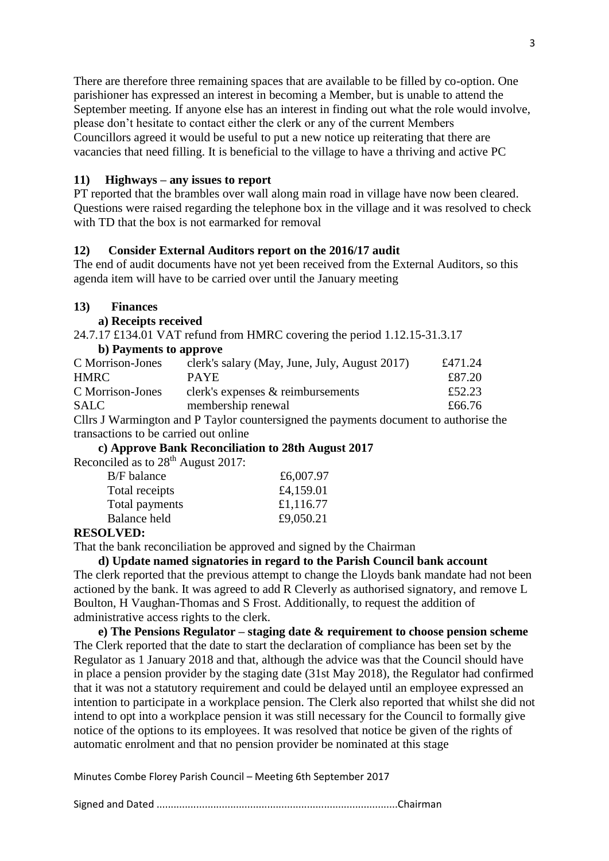There are therefore three remaining spaces that are available to be filled by co-option. One parishioner has expressed an interest in becoming a Member, but is unable to attend the September meeting. If anyone else has an interest in finding out what the role would involve, please don't hesitate to contact either the clerk or any of the current Members Councillors agreed it would be useful to put a new notice up reiterating that there are vacancies that need filling. It is beneficial to the village to have a thriving and active PC

#### **11) Highways – any issues to report**

PT reported that the brambles over wall along main road in village have now been cleared. Questions were raised regarding the telephone box in the village and it was resolved to check with TD that the box is not earmarked for removal

## **12) Consider External Auditors report on the 2016/17 audit**

The end of audit documents have not yet been received from the External Auditors, so this agenda item will have to be carried over until the January meeting

#### **13) Finances**

 **a) Receipts received**

24.7.17 £134.01 VAT refund from HMRC covering the period 1.12.15-31.3.17

## **b) Payments to approve**

| C Morrison-Jones | clerk's salary (May, June, July, August 2017) | £471.24 |
|------------------|-----------------------------------------------|---------|
| HMRC.            | <b>PAYE</b>                                   | £87.20  |
| C Morrison-Jones | clerk's expenses & reimbursements             | £52.23  |
| <b>SALC</b>      | membership renewal                            | £66.76  |

Cllrs J Warmington and P Taylor countersigned the payments document to authorise the transactions to be carried out online

 **c) Approve Bank Reconciliation to 28th August 2017**

Reconciled as to 28<sup>th</sup> August 2017:

| B/F balance    | £6,007.97 |
|----------------|-----------|
| Total receipts | £4,159.01 |
| Total payments | £1,116.77 |
| Balance held   | £9,050.21 |
| DEGAI VED.     |           |

#### **RESOLVED:**

That the bank reconciliation be approved and signed by the Chairman

#### **d) Update named signatories in regard to the Parish Council bank account**

The clerk reported that the previous attempt to change the Lloyds bank mandate had not been actioned by the bank. It was agreed to add R Cleverly as authorised signatory, and remove L Boulton, H Vaughan-Thomas and S Frost. Additionally, to request the addition of administrative access rights to the clerk.

 **e) The Pensions Regulator – staging date & requirement to choose pension scheme** The Clerk reported that the date to start the declaration of compliance has been set by the Regulator as 1 January 2018 and that, although the advice was that the Council should have in place a pension provider by the staging date (31st May 2018), the Regulator had confirmed that it was not a statutory requirement and could be delayed until an employee expressed an intention to participate in a workplace pension. The Clerk also reported that whilst she did not intend to opt into a workplace pension it was still necessary for the Council to formally give notice of the options to its employees. It was resolved that notice be given of the rights of automatic enrolment and that no pension provider be nominated at this stage

Minutes Combe Florey Parish Council – Meeting 6th September 2017

Signed and Dated .....................................................................................Chairman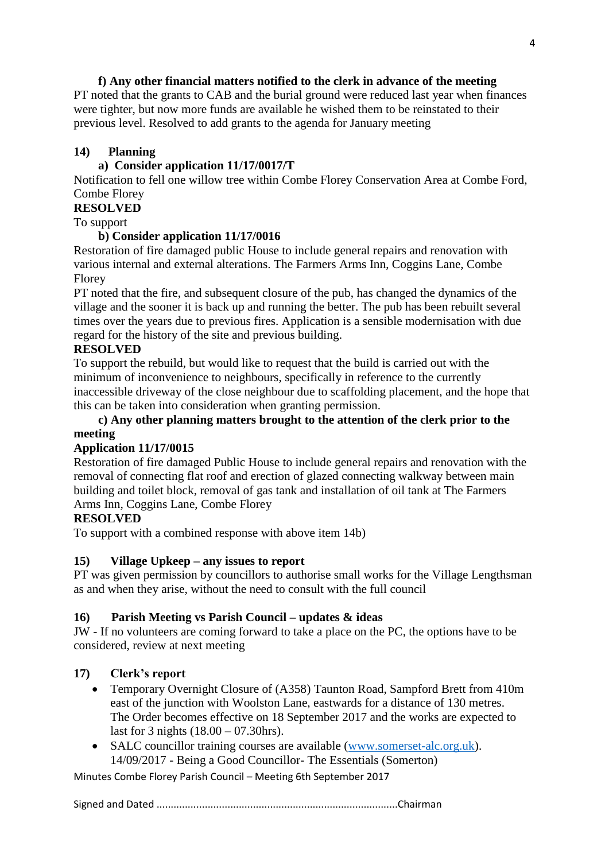# **f) Any other financial matters notified to the clerk in advance of the meeting**

PT noted that the grants to CAB and the burial ground were reduced last year when finances were tighter, but now more funds are available he wished them to be reinstated to their previous level. Resolved to add grants to the agenda for January meeting

## **14) Planning**

## **a) Consider application 11/17/0017/T**

Notification to fell one willow tree within Combe Florey Conservation Area at Combe Ford, Combe Florey

## **RESOLVED**

To support

## **b) Consider application 11/17/0016**

Restoration of fire damaged public House to include general repairs and renovation with various internal and external alterations. The Farmers Arms Inn, Coggins Lane, Combe Florey

PT noted that the fire, and subsequent closure of the pub, has changed the dynamics of the village and the sooner it is back up and running the better. The pub has been rebuilt several times over the years due to previous fires. Application is a sensible modernisation with due regard for the history of the site and previous building.

## **RESOLVED**

To support the rebuild, but would like to request that the build is carried out with the minimum of inconvenience to neighbours, specifically in reference to the currently inaccessible driveway of the close neighbour due to scaffolding placement, and the hope that this can be taken into consideration when granting permission.

## **c) Any other planning matters brought to the attention of the clerk prior to the meeting**

## **Application 11/17/0015**

Restoration of fire damaged Public House to include general repairs and renovation with the removal of connecting flat roof and erection of glazed connecting walkway between main building and toilet block, removal of gas tank and installation of oil tank at The Farmers Arms Inn, Coggins Lane, Combe Florey

## **RESOLVED**

To support with a combined response with above item 14b)

## **15) Village Upkeep – any issues to report**

PT was given permission by councillors to authorise small works for the Village Lengthsman as and when they arise, without the need to consult with the full council

## **16) Parish Meeting vs Parish Council – updates & ideas**

JW - If no volunteers are coming forward to take a place on the PC, the options have to be considered, review at next meeting

# **17) Clerk's report**

- Temporary Overnight Closure of (A358) Taunton Road, Sampford Brett from 410m east of the junction with Woolston Lane, eastwards for a distance of 130 metres. The Order becomes effective on 18 September 2017 and the works are expected to last for 3 nights (18.00 – 07.30hrs).
- SALC councillor training courses are available [\(www.somerset-alc.org.uk\)](http://www.somerset-alc.org.uk/). 14/09/2017 - Being a Good Councillor- The Essentials (Somerton)

Minutes Combe Florey Parish Council – Meeting 6th September 2017